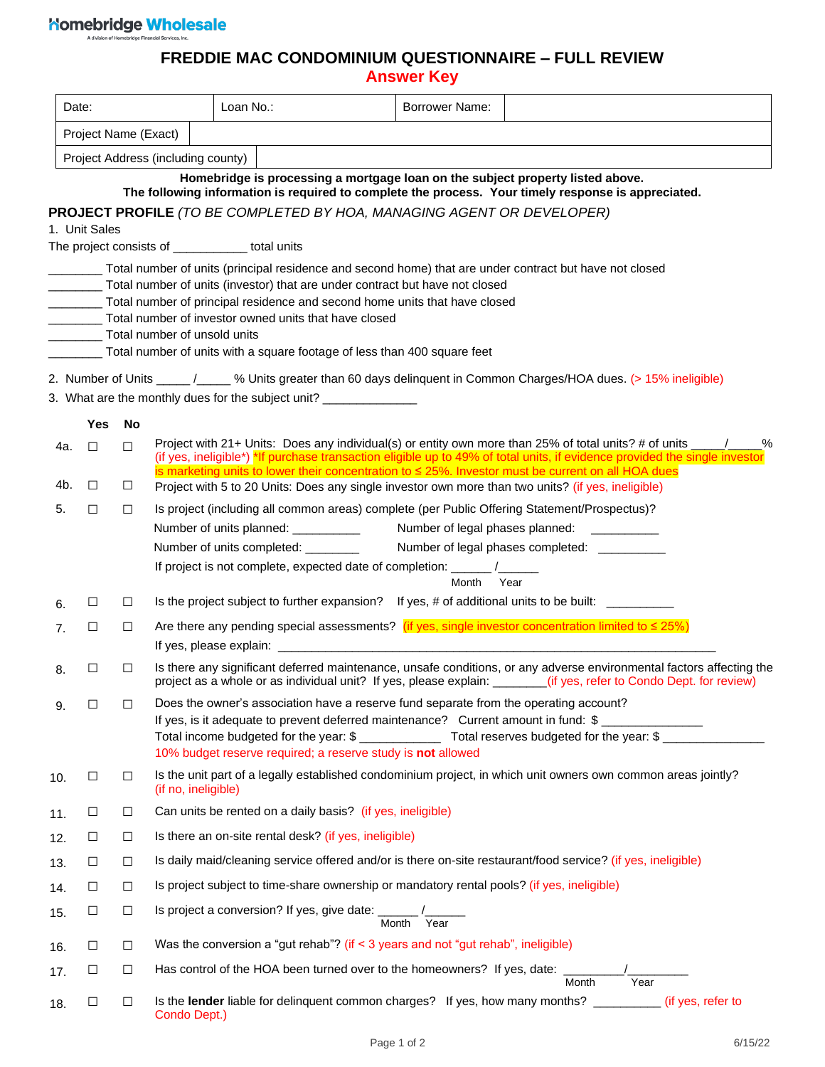## 

## **FREDDIE MAC CONDOMINIUM QUESTIONNAIRE – FULL REVIEW**

**Answer Key**

|                | Date:                                                                                                                               |        |                              | Loan No.:                                                                                               | <b>Borrower Name:</b> |                                                                                                                                                                                                                                                   |  |  |  |  |
|----------------|-------------------------------------------------------------------------------------------------------------------------------------|--------|------------------------------|---------------------------------------------------------------------------------------------------------|-----------------------|---------------------------------------------------------------------------------------------------------------------------------------------------------------------------------------------------------------------------------------------------|--|--|--|--|
|                | Project Name (Exact)                                                                                                                |        |                              |                                                                                                         |                       |                                                                                                                                                                                                                                                   |  |  |  |  |
|                | Project Address (including county)                                                                                                  |        |                              |                                                                                                         |                       |                                                                                                                                                                                                                                                   |  |  |  |  |
|                |                                                                                                                                     |        |                              | Homebridge is processing a mortgage loan on the subject property listed above.                          |                       |                                                                                                                                                                                                                                                   |  |  |  |  |
|                |                                                                                                                                     |        |                              |                                                                                                         |                       | The following information is required to complete the process. Your timely response is appreciated.                                                                                                                                               |  |  |  |  |
|                | 1. Unit Sales                                                                                                                       |        |                              | <b>PROJECT PROFILE</b> (TO BE COMPLETED BY HOA, MANAGING AGENT OR DEVELOPER)                            |                       |                                                                                                                                                                                                                                                   |  |  |  |  |
|                |                                                                                                                                     |        |                              | The project consists of ___________ total units                                                         |                       |                                                                                                                                                                                                                                                   |  |  |  |  |
|                |                                                                                                                                     |        |                              | Total number of units (principal residence and second home) that are under contract but have not closed |                       |                                                                                                                                                                                                                                                   |  |  |  |  |
|                | Total number of units (investor) that are under contract but have not closed                                                        |        |                              |                                                                                                         |                       |                                                                                                                                                                                                                                                   |  |  |  |  |
|                | Total number of principal residence and second home units that have closed<br>Total number of investor owned units that have closed |        |                              |                                                                                                         |                       |                                                                                                                                                                                                                                                   |  |  |  |  |
|                |                                                                                                                                     |        | Total number of unsold units |                                                                                                         |                       |                                                                                                                                                                                                                                                   |  |  |  |  |
|                |                                                                                                                                     |        |                              | Total number of units with a square footage of less than 400 square feet                                |                       |                                                                                                                                                                                                                                                   |  |  |  |  |
|                |                                                                                                                                     |        |                              |                                                                                                         |                       | 2. Number of Units ______ /_____ % Units greater than 60 days delinquent in Common Charges/HOA dues. (> 15% ineligible)                                                                                                                           |  |  |  |  |
|                |                                                                                                                                     |        |                              | 3. What are the monthly dues for the subject unit? ________________                                     |                       |                                                                                                                                                                                                                                                   |  |  |  |  |
|                | Yes                                                                                                                                 | No     |                              |                                                                                                         |                       |                                                                                                                                                                                                                                                   |  |  |  |  |
| 4a.            | $\Box$                                                                                                                              | $\Box$ |                              |                                                                                                         |                       | Project with 21+ Units: Does any individual(s) or entity own more than 25% of total units? # of units ________<br>%<br>(if yes, ineligible*) *If purchase transaction eligible up to 49% of total units, if evidence provided the single investor |  |  |  |  |
|                |                                                                                                                                     |        |                              | is marketing units to lower their concentration to $\leq$ 25%. Investor must be current on all HOA dues |                       |                                                                                                                                                                                                                                                   |  |  |  |  |
| 4b.            | □                                                                                                                                   | ш      |                              | Project with 5 to 20 Units: Does any single investor own more than two units? (if yes, ineligible)      |                       |                                                                                                                                                                                                                                                   |  |  |  |  |
| 5.             | □                                                                                                                                   | $\Box$ |                              | Is project (including all common areas) complete (per Public Offering Statement/Prospectus)?            |                       |                                                                                                                                                                                                                                                   |  |  |  |  |
|                |                                                                                                                                     |        |                              | Number of units planned: ___________<br>Number of units completed: ________                             |                       | Number of legal phases planned: ___________<br>Number of legal phases completed: ___________                                                                                                                                                      |  |  |  |  |
|                |                                                                                                                                     |        |                              | If project is not complete, expected date of completion: ______ /______                                 |                       |                                                                                                                                                                                                                                                   |  |  |  |  |
|                |                                                                                                                                     |        |                              |                                                                                                         | Month                 | Year                                                                                                                                                                                                                                              |  |  |  |  |
| 6.             | ⊔                                                                                                                                   | $\Box$ |                              | Is the project subject to further expansion? If yes, # of additional units to be built: _________       |                       |                                                                                                                                                                                                                                                   |  |  |  |  |
| 7 <sub>1</sub> | □                                                                                                                                   | $\Box$ |                              |                                                                                                         |                       | Are there any pending special assessments? (if yes, single investor concentration limited to $\leq$ 25%)                                                                                                                                          |  |  |  |  |
|                |                                                                                                                                     |        |                              |                                                                                                         |                       |                                                                                                                                                                                                                                                   |  |  |  |  |
| 8.             | □                                                                                                                                   | $\Box$ |                              |                                                                                                         |                       | Is there any significant deferred maintenance, unsafe conditions, or any adverse environmental factors affecting the<br>project as a whole or as individual unit? If yes, please explain: ______(if yes, refer to Condo Dept. for review)         |  |  |  |  |
| 9.             | $\Box$                                                                                                                              | $\Box$ |                              | Does the owner's association have a reserve fund separate from the operating account?                   |                       |                                                                                                                                                                                                                                                   |  |  |  |  |
|                |                                                                                                                                     |        |                              | If yes, is it adequate to prevent deferred maintenance? Current amount in fund: \$                      |                       |                                                                                                                                                                                                                                                   |  |  |  |  |
|                |                                                                                                                                     |        |                              | 10% budget reserve required; a reserve study is not allowed                                             |                       |                                                                                                                                                                                                                                                   |  |  |  |  |
| 10.            | $\Box$                                                                                                                              | $\Box$ | (if no, ineligible)          |                                                                                                         |                       | Is the unit part of a legally established condominium project, in which unit owners own common areas jointly?                                                                                                                                     |  |  |  |  |
| 11.            | $\Box$                                                                                                                              | $\Box$ |                              | Can units be rented on a daily basis? (if yes, ineligible)                                              |                       |                                                                                                                                                                                                                                                   |  |  |  |  |
| 12.            | $\Box$                                                                                                                              | $\Box$ |                              | Is there an on-site rental desk? (if yes, ineligible)                                                   |                       |                                                                                                                                                                                                                                                   |  |  |  |  |
| 13.            | $\Box$                                                                                                                              | $\Box$ |                              |                                                                                                         |                       | Is daily maid/cleaning service offered and/or is there on-site restaurant/food service? (if yes, ineligible)                                                                                                                                      |  |  |  |  |
| 14.            | $\Box$                                                                                                                              | $\Box$ |                              | Is project subject to time-share ownership or mandatory rental pools? (if yes, ineligible)              |                       |                                                                                                                                                                                                                                                   |  |  |  |  |
| 15.            | $\Box$                                                                                                                              | $\Box$ |                              | Is project a conversion? If yes, give date: $\frac{1}{\text{Month}} / \frac{1}{\text{Year}}$            |                       |                                                                                                                                                                                                                                                   |  |  |  |  |
| 16.            | $\Box$                                                                                                                              | $\Box$ |                              | Was the conversion a "gut rehab"? (if < 3 years and not "gut rehab", ineligible)                        |                       |                                                                                                                                                                                                                                                   |  |  |  |  |
| 17.            | $\Box$                                                                                                                              | $\Box$ |                              | Has control of the HOA been turned over to the homeowners? If yes, date: $\frac{1}{\text{Month}}$       |                       | /______<br>Year                                                                                                                                                                                                                                   |  |  |  |  |
| 18.            | $\Box$                                                                                                                              | $\Box$ | Condo Dept.)                 |                                                                                                         |                       | Is the lender liable for delinquent common charges? If yes, how many months? _________ (if yes, refer to                                                                                                                                          |  |  |  |  |